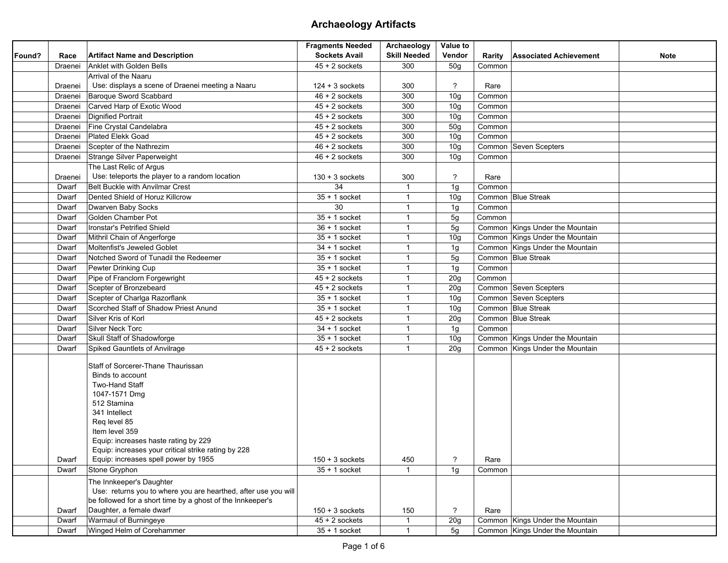|        |                         |                                                                                                                                                                                                                                                                                                                                                                                                                                                                                                                    | <b>Fragments Needed</b>                                   | Archaeology             | Value to                               |                        |                                              |
|--------|-------------------------|--------------------------------------------------------------------------------------------------------------------------------------------------------------------------------------------------------------------------------------------------------------------------------------------------------------------------------------------------------------------------------------------------------------------------------------------------------------------------------------------------------------------|-----------------------------------------------------------|-------------------------|----------------------------------------|------------------------|----------------------------------------------|
| Found? | Race                    | <b>Artifact Name and Description</b>                                                                                                                                                                                                                                                                                                                                                                                                                                                                               | <b>Sockets Avail</b>                                      | <b>Skill Needed</b>     | Vendor                                 | Rarity                 | <b>Associated Achievement</b><br><b>Note</b> |
|        | Draenei                 | Anklet with Golden Bells                                                                                                                                                                                                                                                                                                                                                                                                                                                                                           | $45 + 2$ sockets                                          | 300                     | 50 <sub>q</sub>                        | Common                 |                                              |
|        |                         | Arrival of the Naaru                                                                                                                                                                                                                                                                                                                                                                                                                                                                                               |                                                           |                         |                                        |                        |                                              |
|        | Draenei                 | Use: displays a scene of Draenei meeting a Naaru                                                                                                                                                                                                                                                                                                                                                                                                                                                                   | $124 + 3$ sockets                                         | 300                     | ?                                      | Rare                   |                                              |
|        | Draenei                 | Baroque Sword Scabbard                                                                                                                                                                                                                                                                                                                                                                                                                                                                                             | $46 + 2$ sockets                                          | 300                     | 10 <sub>g</sub>                        | Common                 |                                              |
|        | Draenei                 | Carved Harp of Exotic Wood                                                                                                                                                                                                                                                                                                                                                                                                                                                                                         | $45 + 2$ sockets                                          | 300                     | 10 <sub>g</sub>                        | Common                 |                                              |
|        | Draenei                 | <b>Dignified Portrait</b>                                                                                                                                                                                                                                                                                                                                                                                                                                                                                          | $45 + 2$ sockets                                          | 300                     | 10 <sub>g</sub>                        | Common                 |                                              |
|        | Draenei                 | Fine Crystal Candelabra                                                                                                                                                                                                                                                                                                                                                                                                                                                                                            | $45 + 2$ sockets                                          | 300                     | 50g                                    | Common                 |                                              |
|        | Draenei                 | <b>Plated Elekk Goad</b>                                                                                                                                                                                                                                                                                                                                                                                                                                                                                           | $45 + 2$ sockets                                          | 300                     | 10 <sub>g</sub>                        | Common                 |                                              |
|        | Draenei                 | Scepter of the Nathrezim                                                                                                                                                                                                                                                                                                                                                                                                                                                                                           | $46 + 2$ sockets                                          | 300                     | 10 <sub>g</sub>                        |                        | Common Seven Scepters                        |
|        | Draenei                 | Strange Silver Paperweight                                                                                                                                                                                                                                                                                                                                                                                                                                                                                         | $46 + 2$ sockets                                          | 300                     | 10 <sub>g</sub>                        | Common                 |                                              |
|        |                         | The Last Relic of Argus                                                                                                                                                                                                                                                                                                                                                                                                                                                                                            |                                                           |                         |                                        |                        |                                              |
|        | Draenei                 | Use: teleports the player to a random location                                                                                                                                                                                                                                                                                                                                                                                                                                                                     | $130 + 3$ sockets                                         | 300                     | $\overline{?}$                         | Rare                   |                                              |
|        | Dwarf                   | Belt Buckle with Anvilmar Crest                                                                                                                                                                                                                                                                                                                                                                                                                                                                                    | 34                                                        | $\overline{\mathbf{1}}$ | 1g                                     | Common                 |                                              |
|        | Dwarf                   | Dented Shield of Horuz Killcrow                                                                                                                                                                                                                                                                                                                                                                                                                                                                                    | $35 + 1$ socket                                           | $\mathbf{1}$            | 10 <sub>g</sub>                        |                        | Common Blue Streak                           |
|        | Dwarf                   | Dwarven Baby Socks                                                                                                                                                                                                                                                                                                                                                                                                                                                                                                 | 30                                                        | $\mathbf{1}$            | 1g                                     | Common                 |                                              |
|        | Dwarf                   | Golden Chamber Pot                                                                                                                                                                                                                                                                                                                                                                                                                                                                                                 | $35 + 1$ socket                                           | $\mathbf{1}$            | 5g                                     | Common                 |                                              |
|        | Dwarf                   | Ironstar's Petrified Shield                                                                                                                                                                                                                                                                                                                                                                                                                                                                                        | $36 + 1$ socket                                           | $\mathbf{1}$            | 5 <sub>g</sub>                         |                        | Common Kings Under the Mountain              |
|        | Dwarf                   | Mithril Chain of Angerforge                                                                                                                                                                                                                                                                                                                                                                                                                                                                                        | $35 + 1$ socket                                           | $\overline{1}$          | 10 <sub>g</sub>                        |                        | Common Kings Under the Mountain              |
|        | Dwarf                   | Moltenfist's Jeweled Goblet                                                                                                                                                                                                                                                                                                                                                                                                                                                                                        | $34 + 1$ socket                                           | $\mathbf{1}$            | 1g                                     |                        | Common Kings Under the Mountain              |
|        | Dwarf                   | Notched Sword of Tunadil the Redeemer                                                                                                                                                                                                                                                                                                                                                                                                                                                                              | $35 + 1$ socket                                           | $\mathbf{1}$            | 5 <sub>g</sub>                         |                        | Common Blue Streak                           |
|        | Dwarf                   | Pewter Drinking Cup                                                                                                                                                                                                                                                                                                                                                                                                                                                                                                | $35 + 1$ socket                                           | 1                       | 1g                                     | Common                 |                                              |
|        | Dwarf                   | Pipe of Franclorn Forgewright                                                                                                                                                                                                                                                                                                                                                                                                                                                                                      | $45 + 2$ sockets                                          | $\mathbf{1}$            | 20g                                    | Common                 |                                              |
|        | Dwarf                   | Scepter of Bronzebeard                                                                                                                                                                                                                                                                                                                                                                                                                                                                                             | $45 + 2$ sockets                                          | $\mathbf{1}$            | 20g                                    |                        | Common Seven Scepters                        |
|        | Dwarf                   | Scepter of Charlga Razorflank                                                                                                                                                                                                                                                                                                                                                                                                                                                                                      | $35 + 1$ socket                                           | $\overline{1}$          | 10 <sub>g</sub>                        |                        | Common Seven Scepters                        |
|        | Dwarf                   | Scorched Staff of Shadow Priest Anund                                                                                                                                                                                                                                                                                                                                                                                                                                                                              | $35 + 1$ socket                                           | $\overline{1}$          | 10 <sub>q</sub>                        |                        | Common Blue Streak                           |
|        | Dwarf                   | Silver Kris of Korl                                                                                                                                                                                                                                                                                                                                                                                                                                                                                                | $45 + 2$ sockets                                          | $\mathbf{1}$            | 20 <sub>g</sub>                        |                        | Common Blue Streak                           |
|        | Dwarf                   | Silver Neck Torc                                                                                                                                                                                                                                                                                                                                                                                                                                                                                                   | $34 + 1$ socket                                           | $\mathbf{1}$            | 1g                                     | Common                 |                                              |
|        | Dwarf                   | Skull Staff of Shadowforge                                                                                                                                                                                                                                                                                                                                                                                                                                                                                         | $35 + 1$ socket                                           | $\mathbf{1}$            | 10 <sub>g</sub>                        |                        | Common Kings Under the Mountain              |
|        | Dwarf                   | Spiked Gauntlets of Anvilrage                                                                                                                                                                                                                                                                                                                                                                                                                                                                                      | $45 + 2$ sockets                                          | $\mathbf{1}$            | 20g                                    |                        | Common Kings Under the Mountain              |
|        | Dwarf<br>Dwarf<br>Dwarf | Staff of Sorcerer-Thane Thaurissan<br>Binds to account<br><b>Two-Hand Staff</b><br>1047-1571 Dmg<br>512 Stamina<br>341 Intellect<br>Reg level 85<br>Item level 359<br>Equip: increases haste rating by 229<br>Equip: increases your critical strike rating by 228<br>Equip: increases spell power by 1955<br>Stone Gryphon<br>The Innkeeper's Daughter<br>Use: returns you to where you are hearthed, after use you will<br>be followed for a short time by a ghost of the Innkeeper's<br>Daughter, a female dwarf | $150 + 3$ sockets<br>$35 + 1$ socket<br>$150 + 3$ sockets | 450<br>150              | $\overline{?}$<br>1g<br>$\overline{?}$ | Rare<br>Common<br>Rare |                                              |
|        | Dwarf                   | Warmaul of Burningeye                                                                                                                                                                                                                                                                                                                                                                                                                                                                                              | $45 + 2$ sockets                                          | $\mathbf{1}$            | 20g                                    |                        | Common Kings Under the Mountain              |
|        | Dwarf                   | Winged Helm of Corehammer                                                                                                                                                                                                                                                                                                                                                                                                                                                                                          | $35 + 1$ socket                                           | $\overline{1}$          | 5g                                     |                        | Common Kings Under the Mountain              |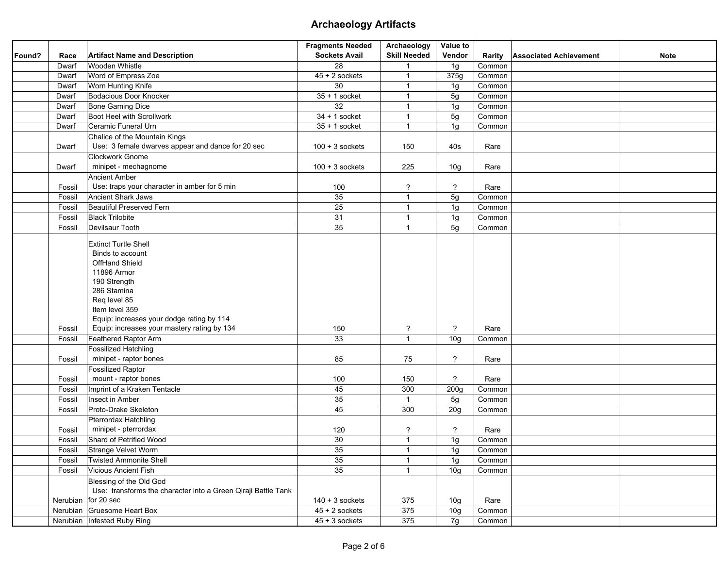|        |        |                                                               | <b>Fragments Needed</b> | Archaeology         | Value to        |        |                               |             |
|--------|--------|---------------------------------------------------------------|-------------------------|---------------------|-----------------|--------|-------------------------------|-------------|
| Found? | Race   | <b>Artifact Name and Description</b>                          | <b>Sockets Avail</b>    | <b>Skill Needed</b> | Vendor          | Rarity | <b>Associated Achievement</b> | <b>Note</b> |
|        | Dwarf  | Wooden Whistle                                                | 28                      | $\mathbf{1}$        | 1g              | Common |                               |             |
|        | Dwarf  | Word of Empress Zoe                                           | $45 + 2$ sockets        | $\mathbf{1}$        | 375g            | Common |                               |             |
|        | Dwarf  | Worn Hunting Knife                                            | 30                      | $\mathbf{1}$        | 1g              | Common |                               |             |
|        | Dwarf  | Bodacious Door Knocker                                        | $35 + 1$ socket         | $\mathbf{1}$        | 5g              | Common |                               |             |
|        | Dwarf  | Bone Gaming Dice                                              | 32                      | $\mathbf{1}$        | 1g              | Common |                               |             |
|        | Dwarf  | Boot Heel with Scrollwork                                     | $34 + 1$ socket         | $\mathbf{1}$        | 5g              | Common |                               |             |
|        | Dwarf  | Ceramic Funeral Urn                                           | $35 + 1$ socket         | $\mathbf{1}$        | 1g              | Common |                               |             |
|        |        | Chalice of the Mountain Kings                                 |                         |                     |                 |        |                               |             |
|        | Dwarf  | Use: 3 female dwarves appear and dance for 20 sec             | $100 + 3$ sockets       | 150                 | 40s             | Rare   |                               |             |
|        |        | Clockwork Gnome                                               |                         |                     |                 |        |                               |             |
|        | Dwarf  | minipet - mechagnome                                          | $100 + 3$ sockets       | 225                 | 10 <sub>g</sub> | Rare   |                               |             |
|        |        | <b>Ancient Amber</b>                                          |                         |                     |                 |        |                               |             |
|        | Fossil | Use: traps your character in amber for 5 min                  | 100                     | $\tilde{?}$         | $\tilde{ }$     | Rare   |                               |             |
|        | Fossil | Ancient Shark Jaws                                            | 35                      | $\mathbf{1}$        | 5g              | Common |                               |             |
|        | Fossil | Beautiful Preserved Fern                                      | 25                      | $\mathbf{1}$        | 1g              | Common |                               |             |
|        | Fossil | <b>Black Trilobite</b>                                        | 31                      | $\mathbf{1}$        | 1g              | Common |                               |             |
|        | Fossil | Devilsaur Tooth                                               | 35                      | $\mathbf{1}$        | 5g              | Common |                               |             |
|        |        |                                                               |                         |                     |                 |        |                               |             |
|        |        | <b>Extinct Turtle Shell</b>                                   |                         |                     |                 |        |                               |             |
|        |        | Binds to account                                              |                         |                     |                 |        |                               |             |
|        |        | OffHand Shield                                                |                         |                     |                 |        |                               |             |
|        |        | 11896 Armor                                                   |                         |                     |                 |        |                               |             |
|        |        | 190 Strength                                                  |                         |                     |                 |        |                               |             |
|        |        | 286 Stamina                                                   |                         |                     |                 |        |                               |             |
|        |        | Req level 85                                                  |                         |                     |                 |        |                               |             |
|        |        | Item level 359                                                |                         |                     |                 |        |                               |             |
|        |        | Equip: increases your dodge rating by 114                     |                         |                     | ?               | Rare   |                               |             |
|        | Fossil | Equip: increases your mastery rating by 134                   | 150<br>33               | ?<br>$\mathbf{1}$   |                 |        |                               |             |
|        | Fossil | Feathered Raptor Arm                                          |                         |                     | 10 <sub>g</sub> | Common |                               |             |
|        |        | Fossilized Hatchling                                          |                         |                     |                 |        |                               |             |
|        | Fossil | minipet - raptor bones                                        | 85                      | 75                  | $\tilde{ }$     | Rare   |                               |             |
|        |        | <b>Fossilized Raptor</b>                                      |                         |                     |                 |        |                               |             |
|        | Fossil | mount - raptor bones                                          | 100                     | 150                 | ?               | Rare   |                               |             |
|        | Fossil | Imprint of a Kraken Tentacle                                  | 45                      | 300                 | 200g            | Common |                               |             |
|        | Fossil | Insect in Amber                                               | 35                      | $\mathbf{1}$        | 5g              | Common |                               |             |
|        | Fossil | Proto-Drake Skeleton                                          | 45                      | 300                 | 20g             | Common |                               |             |
|        |        | Pterrordax Hatchling                                          |                         |                     |                 |        |                               |             |
|        | Fossil | minipet - pterrordax                                          | 120                     | $\overline{?}$      | $\tilde{ }$     | Rare   |                               |             |
|        | Fossil | Shard of Petrified Wood                                       | 30                      | $\mathbf{1}$        | 1g              | Common |                               |             |
|        | Fossil | Strange Velvet Worm                                           | 35                      | $\mathbf{1}$        | 1g              | Common |                               |             |
|        | Fossil | <b>Twisted Ammonite Shell</b>                                 | 35                      | $\mathbf{1}$        | 1g              | Common |                               |             |
|        | Fossil | Vicious Ancient Fish                                          | 35                      | $\mathbf{1}$        | 10 <sub>g</sub> | Common |                               |             |
|        |        | Blessing of the Old God                                       |                         |                     |                 |        |                               |             |
|        |        | Use: transforms the character into a Green Qiraji Battle Tank |                         |                     |                 |        |                               |             |
|        |        | Nerubian for 20 sec                                           | $140 + 3$ sockets       | 375                 | 10 <sub>g</sub> | Rare   |                               |             |
|        |        | Nerubian Gruesome Heart Box                                   | $45 + 2$ sockets        | 375                 | 10 <sub>g</sub> | Common |                               |             |
|        |        | Nerubian Infested Ruby Ring                                   | $45 + 3$ sockets        | 375                 | 7g              | Common |                               |             |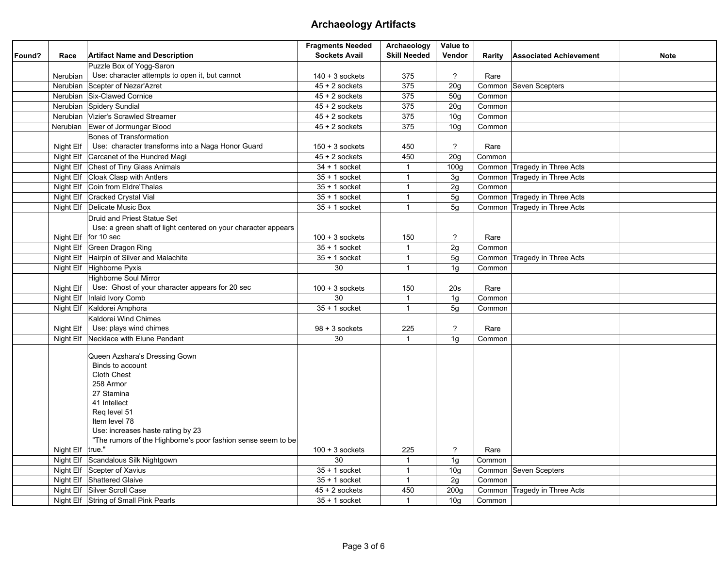|        |           |                                                                | <b>Fragments Needed</b> | Archaeology         | Value to         |        |                               |             |
|--------|-----------|----------------------------------------------------------------|-------------------------|---------------------|------------------|--------|-------------------------------|-------------|
| Found? | Race      | <b>Artifact Name and Description</b>                           | <b>Sockets Avail</b>    | <b>Skill Needed</b> | Vendor           | Rarity | <b>Associated Achievement</b> | <b>Note</b> |
|        |           | Puzzle Box of Yogg-Saron                                       |                         |                     |                  |        |                               |             |
|        | Nerubian  | Use: character attempts to open it, but cannot                 | $140 + 3$ sockets       | 375                 | $\tilde{ }$      | Rare   |                               |             |
|        |           | Nerubian Scepter of Nezar'Azret                                | $45 + 2$ sockets        | 375                 | 20g              |        | Common Seven Scepters         |             |
|        |           | Nerubian Six-Clawed Cornice                                    | $45 + 2$ sockets        | 375                 | 50 <sub>g</sub>  | Common |                               |             |
|        |           | Nerubian Spidery Sundial                                       | $45 + 2$ sockets        | 375                 | 20 <sub>g</sub>  | Common |                               |             |
|        |           | Nerubian   Vizier's Scrawled Streamer                          | $45 + 2$ sockets        | 375                 | 10 <sub>g</sub>  | Common |                               |             |
|        |           | Nerubian Ewer of Jormungar Blood                               | $45 + 2$ sockets        | 375                 | 10q              | Common |                               |             |
|        |           | Bones of Transformation                                        |                         |                     |                  |        |                               |             |
|        | Night Elf | Use: character transforms into a Naga Honor Guard              | $150 + 3$ sockets       | 450                 | $\overline{?}$   | Rare   |                               |             |
|        |           | Night Elf   Carcanet of the Hundred Magi                       | $45 + 2$ sockets        | 450                 | 20g              | Common |                               |             |
|        |           | Night Elf Chest of Tiny Glass Animals                          | $34 + 1$ socket         | $\mathbf{1}$        | 100q             |        | Common Tragedy in Three Acts  |             |
|        |           | Night Elf Cloak Clasp with Antlers                             | $35 + 1$ socket         | $\mathbf{1}$        | 3g               |        | Common Tragedy in Three Acts  |             |
|        |           | Night Elf   Coin from Eldre' Thalas                            | $35 + 1$ socket         | $\mathbf{1}$        | 2g               | Common |                               |             |
|        |           | Night Elf Cracked Crystal Vial                                 | $35 + 1$ socket         | $\mathbf{1}$        | 5g               |        | Common Tragedy in Three Acts  |             |
|        |           | Night Elf Delicate Music Box                                   | $35 + 1$ socket         | $\mathbf{1}$        | 5g               |        | Common Tragedy in Three Acts  |             |
|        |           | Druid and Priest Statue Set                                    |                         |                     |                  |        |                               |             |
|        |           | Use: a green shaft of light centered on your character appears |                         |                     |                  |        |                               |             |
|        |           | Night Elf   for 10 sec                                         | $100 + 3$ sockets       | 150                 | ?                | Rare   |                               |             |
|        |           | Night Elf Green Dragon Ring                                    | $35 + 1$ socket         | $\mathbf{1}$        | 2g               | Common |                               |             |
|        |           | Night Elf Hairpin of Silver and Malachite                      | $35 + 1$ socket         | $\mathbf{1}$        | 5g               |        | Common Tragedy in Three Acts  |             |
|        |           | Night Elf Highborne Pyxis                                      | 30                      | $\mathbf{1}$        | 1g               | Common |                               |             |
|        |           | <b>Highborne Soul Mirror</b>                                   |                         |                     |                  |        |                               |             |
|        | Night Elf | Use: Ghost of your character appears for 20 sec                | $100 + 3$ sockets       | 150                 | 20s              | Rare   |                               |             |
|        |           | Night Elf   Inlaid Ivory Comb                                  | 30                      | $\mathbf{1}$        | 1g               | Common |                               |             |
|        |           | Night Elf   Kaldorei Amphora                                   | $35 + 1$ socket         | $\mathbf{1}$        | 5g               | Common |                               |             |
|        |           | Kaldorei Wind Chimes                                           |                         |                     |                  |        |                               |             |
|        | Night Elf | Use: plays wind chimes                                         | $98 + 3$ sockets        | 225                 | $\mathcal{P}$    | Rare   |                               |             |
|        |           | Night Elf Necklace with Elune Pendant                          | 30                      | $\mathbf{1}$        | 1 <sub>q</sub>   | Common |                               |             |
|        |           |                                                                |                         |                     |                  |        |                               |             |
|        |           | Queen Azshara's Dressing Gown<br>Binds to account              |                         |                     |                  |        |                               |             |
|        |           | Cloth Chest                                                    |                         |                     |                  |        |                               |             |
|        |           | 258 Armor                                                      |                         |                     |                  |        |                               |             |
|        |           | 27 Stamina                                                     |                         |                     |                  |        |                               |             |
|        |           | 41 Intellect                                                   |                         |                     |                  |        |                               |             |
|        |           | Reg level 51                                                   |                         |                     |                  |        |                               |             |
|        |           | Item level 78                                                  |                         |                     |                  |        |                               |             |
|        |           | Use: increases haste rating by 23                              |                         |                     |                  |        |                               |             |
|        |           | "The rumors of the Highborne's poor fashion sense seem to be   |                         |                     |                  |        |                               |             |
|        | Night Elf | true."                                                         | $100 + 3$ sockets       | 225                 | ?                | Rare   |                               |             |
|        |           | Night Elf Scandalous Silk Nightgown                            | 30                      | $\mathbf{1}$        | 1g               | Common |                               |             |
|        |           | Night Elf Scepter of Xavius                                    | $35 + 1$ socket         | $\mathbf{1}$        | 10q              |        | Common Seven Scepters         |             |
|        |           | Night Elf Shattered Glaive                                     | $35 + 1$ socket         | $\mathbf{1}$        | 2g               | Common |                               |             |
|        |           | Night Elf Silver Scroll Case                                   | $45 + 2$ sockets        | 450                 | 200 <sub>g</sub> |        | Common Tragedy in Three Acts  |             |
|        |           | Night Elf String of Small Pink Pearls                          | $35 + 1$ socket         | $\mathbf{1}$        | 10q              | Common |                               |             |
|        |           |                                                                |                         |                     |                  |        |                               |             |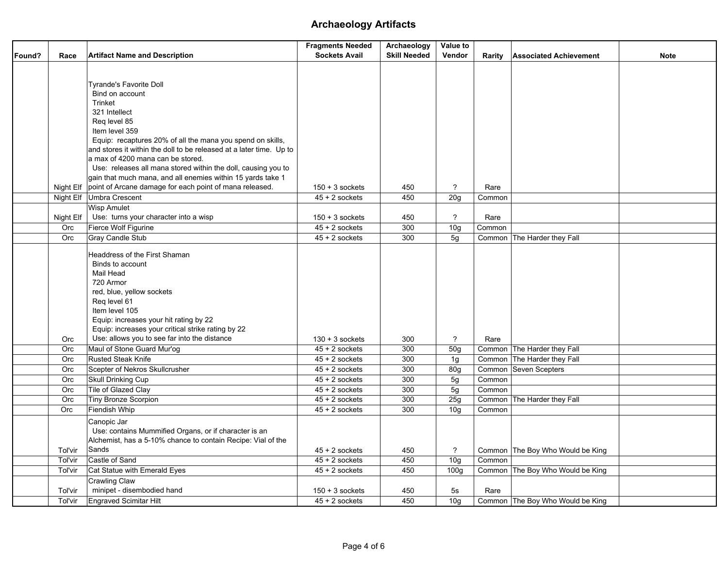|        |           |                                                                     | <b>Fragments Needed</b> | Archaeology         | Value to        |        |                                  |             |
|--------|-----------|---------------------------------------------------------------------|-------------------------|---------------------|-----------------|--------|----------------------------------|-------------|
| Found? | Race      | <b>Artifact Name and Description</b>                                | <b>Sockets Avail</b>    | <b>Skill Needed</b> | Vendor          | Rarity | <b>Associated Achievement</b>    | <b>Note</b> |
|        |           |                                                                     |                         |                     |                 |        |                                  |             |
|        |           |                                                                     |                         |                     |                 |        |                                  |             |
|        |           | Tyrande's Favorite Doll                                             |                         |                     |                 |        |                                  |             |
|        |           | Bind on account                                                     |                         |                     |                 |        |                                  |             |
|        |           | Trinket                                                             |                         |                     |                 |        |                                  |             |
|        |           | 321 Intellect                                                       |                         |                     |                 |        |                                  |             |
|        |           | Reg level 85<br>Item level 359                                      |                         |                     |                 |        |                                  |             |
|        |           | Equip: recaptures 20% of all the mana you spend on skills,          |                         |                     |                 |        |                                  |             |
|        |           | and stores it within the doll to be released at a later time. Up to |                         |                     |                 |        |                                  |             |
|        |           | a max of 4200 mana can be stored.                                   |                         |                     |                 |        |                                  |             |
|        |           | Use: releases all mana stored within the doll, causing you to       |                         |                     |                 |        |                                  |             |
|        |           | gain that much mana, and all enemies within 15 yards take 1         |                         |                     |                 |        |                                  |             |
|        | Night Elf | point of Arcane damage for each point of mana released.             | $150 + 3$ sockets       | 450                 | ?               | Rare   |                                  |             |
|        |           | Night Elf Umbra Crescent                                            | $45 + 2$ sockets        | 450                 | 20 <sub>g</sub> | Common |                                  |             |
|        |           | <b>Wisp Amulet</b>                                                  |                         |                     |                 |        |                                  |             |
|        | Night Elf | Use: turns your character into a wisp                               | $150 + 3$ sockets       | 450                 | $\tilde{?}$     | Rare   |                                  |             |
|        | Orc       | Fierce Wolf Figurine                                                | $45 + 2$ sockets        | 300                 | 10 <sub>g</sub> | Common |                                  |             |
|        | Orc       | Gray Candle Stub                                                    | $45 + 2$ sockets        | 300                 | 5g              |        | Common The Harder they Fall      |             |
|        |           |                                                                     |                         |                     |                 |        |                                  |             |
|        |           | Headdress of the First Shaman<br>Binds to account                   |                         |                     |                 |        |                                  |             |
|        |           | Mail Head                                                           |                         |                     |                 |        |                                  |             |
|        |           | 720 Armor                                                           |                         |                     |                 |        |                                  |             |
|        |           | red, blue, yellow sockets                                           |                         |                     |                 |        |                                  |             |
|        |           | Req level 61                                                        |                         |                     |                 |        |                                  |             |
|        |           | Item level 105                                                      |                         |                     |                 |        |                                  |             |
|        |           | Equip: increases your hit rating by 22                              |                         |                     |                 |        |                                  |             |
|        |           | Equip: increases your critical strike rating by 22                  |                         |                     |                 |        |                                  |             |
|        | Orc       | Use: allows you to see far into the distance                        | $130 + 3$ sockets       | 300                 | ?               | Rare   |                                  |             |
|        | Orc       | Maul of Stone Guard Mur'og                                          | $45 + 2$ sockets        | 300                 | 50g             |        | Common The Harder they Fall      |             |
|        | Orc       | <b>Rusted Steak Knife</b>                                           | $45 + 2$ sockets        | 300                 | 1 <sub>g</sub>  |        | Common The Harder they Fall      |             |
|        | Orc       | Scepter of Nekros Skullcrusher                                      | $45 + 2$ sockets        | 300                 | 80g             |        | Common Seven Scepters            |             |
|        | Orc       | <b>Skull Drinking Cup</b>                                           | $45 + 2$ sockets        | 300                 | 5g              | Common |                                  |             |
|        | Orc       | Tile of Glazed Clay                                                 | $45 + 2$ sockets        | 300                 | 5g              | Common |                                  |             |
|        | Orc       | Tiny Bronze Scorpion                                                | $45 + 2$ sockets        | 300                 | 25g             |        | Common The Harder they Fall      |             |
|        | Orc       | Fiendish Whip                                                       | $45 + 2$ sockets        | 300                 | 10 <sub>g</sub> | Common |                                  |             |
|        |           | Canopic Jar                                                         |                         |                     |                 |        |                                  |             |
|        |           | Use: contains Mummified Organs, or if character is an               |                         |                     |                 |        |                                  |             |
|        |           | Alchemist, has a 5-10% chance to contain Recipe: Vial of the        |                         |                     |                 |        |                                  |             |
|        | Tol'vir   | Sands                                                               | $45 + 2$ sockets        | 450                 | $\overline{?}$  |        | Common The Boy Who Would be King |             |
|        | Tol'vir   | Castle of Sand                                                      | $45 + 2$ sockets        | 450                 | 10 <sub>g</sub> | Common |                                  |             |
|        | Tol'vir   | Cat Statue with Emerald Eyes                                        | $45 + 2$ sockets        | 450                 | 100q            |        | Common The Boy Who Would be King |             |
|        |           | Crawling Claw                                                       |                         |                     |                 |        |                                  |             |
|        | Tol'vir   | minipet - disembodied hand                                          | $150 + 3$ sockets       | 450                 | 5s              | Rare   |                                  |             |
|        | Tol'vir   | <b>Engraved Scimitar Hilt</b>                                       | $45 + 2$ sockets        | 450                 | 10 <sub>g</sub> |        | Common The Boy Who Would be King |             |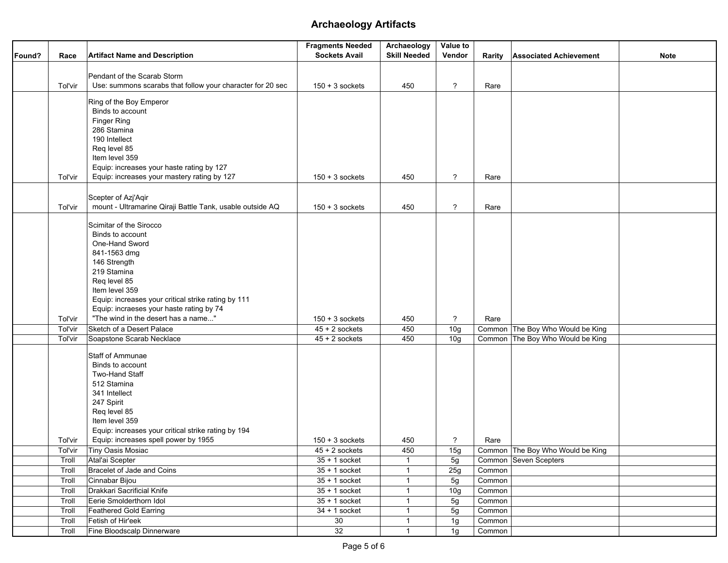|        |         |                                                            | <b>Fragments Needed</b>              | Archaeology         | Value to                 |        |                                  |             |
|--------|---------|------------------------------------------------------------|--------------------------------------|---------------------|--------------------------|--------|----------------------------------|-------------|
| Found? | Race    | <b>Artifact Name and Description</b>                       | <b>Sockets Avail</b>                 | <b>Skill Needed</b> | Vendor                   | Rarity | <b>Associated Achievement</b>    | <b>Note</b> |
|        |         |                                                            |                                      |                     |                          |        |                                  |             |
|        |         | Pendant of the Scarab Storm                                |                                      |                     |                          |        |                                  |             |
|        | Tol'vir | Use: summons scarabs that follow your character for 20 sec | $150 + 3$ sockets                    | 450                 | ?                        | Rare   |                                  |             |
|        |         |                                                            |                                      |                     |                          |        |                                  |             |
|        |         | Ring of the Boy Emperor<br>Binds to account                |                                      |                     |                          |        |                                  |             |
|        |         | Finger Ring                                                |                                      |                     |                          |        |                                  |             |
|        |         | 286 Stamina                                                |                                      |                     |                          |        |                                  |             |
|        |         | 190 Intellect                                              |                                      |                     |                          |        |                                  |             |
|        |         | Req level 85                                               |                                      |                     |                          |        |                                  |             |
|        |         | Item level 359                                             |                                      |                     |                          |        |                                  |             |
|        |         | Equip: increases your haste rating by 127                  |                                      |                     |                          |        |                                  |             |
|        | Tol'vir | Equip: increases your mastery rating by 127                | $150 + 3$ sockets                    | 450                 | $\overline{?}$           | Rare   |                                  |             |
|        |         |                                                            |                                      |                     |                          |        |                                  |             |
|        |         | Scepter of Azj'Aqir                                        |                                      |                     |                          |        |                                  |             |
|        | Tol'vir | mount - Ultramarine Qiraji Battle Tank, usable outside AQ  | $150 + 3$ sockets                    | 450                 | $\overline{\mathcal{C}}$ | Rare   |                                  |             |
|        |         | Scimitar of the Sirocco                                    |                                      |                     |                          |        |                                  |             |
|        |         | Binds to account                                           |                                      |                     |                          |        |                                  |             |
|        |         | One-Hand Sword                                             |                                      |                     |                          |        |                                  |             |
|        |         | 841-1563 dmg                                               |                                      |                     |                          |        |                                  |             |
|        |         | 146 Strength                                               |                                      |                     |                          |        |                                  |             |
|        |         | 219 Stamina                                                |                                      |                     |                          |        |                                  |             |
|        |         | Req level 85                                               |                                      |                     |                          |        |                                  |             |
|        |         | Item level 359                                             |                                      |                     |                          |        |                                  |             |
|        |         | Equip: increases your critical strike rating by 111        |                                      |                     |                          |        |                                  |             |
|        |         | Equip: incraeses your haste rating by 74                   |                                      |                     |                          |        |                                  |             |
|        | Tol'vir | "The wind in the desert has a name"                        | $150 + 3$ sockets                    | 450                 | $\overline{?}$           | Rare   |                                  |             |
|        | Tol'vir | Sketch of a Desert Palace                                  | $45 + 2$ sockets<br>$45 + 2$ sockets | 450<br>450          | 10 <sub>g</sub>          |        | Common The Boy Who Would be King |             |
|        | Tol'vir | Soapstone Scarab Necklace                                  |                                      |                     | 10 <sub>g</sub>          |        | Common The Boy Who Would be King |             |
|        |         | Staff of Ammunae                                           |                                      |                     |                          |        |                                  |             |
|        |         | Binds to account                                           |                                      |                     |                          |        |                                  |             |
|        |         | Two-Hand Staff                                             |                                      |                     |                          |        |                                  |             |
|        |         | 512 Stamina                                                |                                      |                     |                          |        |                                  |             |
|        |         | 341 Intellect                                              |                                      |                     |                          |        |                                  |             |
|        |         | 247 Spirit                                                 |                                      |                     |                          |        |                                  |             |
|        |         | Req level 85<br>Item level 359                             |                                      |                     |                          |        |                                  |             |
|        |         | Equip: increases your critical strike rating by 194        |                                      |                     |                          |        |                                  |             |
|        | Tol'vir | Equip: increases spell power by 1955                       | $150 + 3$ sockets                    | 450                 | ?                        | Rare   |                                  |             |
|        | Tol'vir | Tiny Oasis Mosiac                                          | $45 + 2$ sockets                     | 450                 | 15g                      |        | Common The Boy Who Would be King |             |
|        | Troll   | Atal'ai Scepter                                            | $35 + 1$ socket                      | $\mathbf{1}$        | 5g                       |        | Common Seven Scepters            |             |
|        | Troll   | Bracelet of Jade and Coins                                 | $35 + 1$ socket                      | $\mathbf 1$         | 25g                      | Common |                                  |             |
|        | Troll   | Cinnabar Bijou                                             | $35 + 1$ socket                      | $\mathbf{1}$        | 5g                       | Common |                                  |             |
|        | Troll   | Drakkari Sacrificial Knife                                 | $35 + 1$ socket                      | $\mathbf{1}$        | 10 <sub>g</sub>          | Common |                                  |             |
|        | Troll   | Eerie Smolderthorn Idol                                    | $\overline{35}$ + 1 socket           | $\mathbf{1}$        | 5g                       | Common |                                  |             |
|        | Troll   | Feathered Gold Earring                                     | $34 + 1$ socket                      | $\mathbf{1}$        | 5g                       | Common |                                  |             |
|        | Troll   | Fetish of Hir'eek                                          | 30                                   | $\mathbf{1}$        | 1g                       | Common |                                  |             |
|        | Troll   | Fine Bloodscalp Dinnerware                                 | 32                                   | $\mathbf{1}$        | 1g                       | Common |                                  |             |